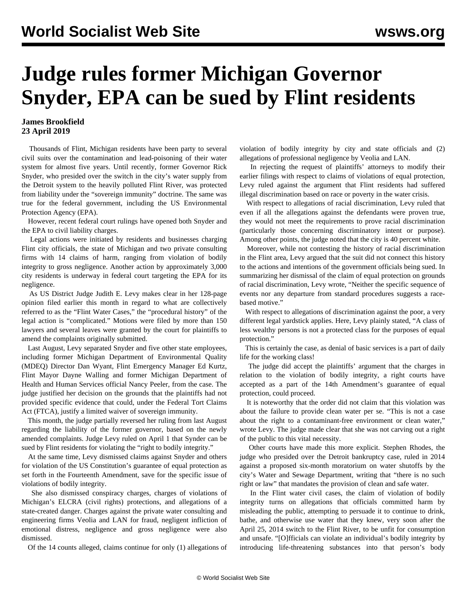## **Judge rules former Michigan Governor Snyder, EPA can be sued by Flint residents**

## **James Brookfield 23 April 2019**

 Thousands of Flint, Michigan residents have been party to several civil suits over the contamination and lead-poisoning of their water system for almost five years. Until recently, former Governor Rick Snyder, who presided over the switch in the city's water supply from the Detroit system to the heavily polluted Flint River, was protected from liability under the "sovereign immunity" doctrine. The same was true for the federal government, including the US Environmental Protection Agency (EPA).

 However, recent federal court rulings have opened both Snyder and the EPA to civil liability charges.

 Legal actions were initiated by residents and businesses charging Flint city officials, the state of Michigan and two private consulting firms with 14 claims of harm, ranging from violation of bodily integrity to gross negligence. Another action by approximately 3,000 city residents is underway in federal court targeting the EPA for its negligence.

 As US District Judge Judith E. Levy makes clear in her 128-page opinion filed earlier this month in regard to what are collectively referred to as the "Flint Water Cases," the "procedural history" of the legal action is "complicated." Motions were filed by more than 150 lawyers and several leaves were granted by the court for plaintiffs to amend the complaints originally submitted.

 Last August, Levy separated Snyder and five other state employees, including former Michigan Department of Environmental Quality (MDEQ) Director Dan Wyant, Flint Emergency Manager Ed Kurtz, Flint Mayor Dayne Walling and former Michigan Department of Health and Human Services official Nancy Peeler, from the case. The judge justified her decision on the grounds that the plaintiffs had not provided specific evidence that could, under the Federal Tort Claims Act (FTCA), justify a limited waiver of sovereign immunity.

 This month, the judge partially reversed her ruling from last August regarding the liability of the former governor, based on the newly amended complaints. Judge Levy ruled on April 1 that Synder can be sued by Flint residents for violating the "right to bodily integrity."

 At the same time, Levy dismissed claims against Snyder and others for violation of the US Constitution's guarantee of equal protection as set forth in the Fourteenth Amendment, save for the specific issue of violations of bodily integrity.

 She also dismissed conspiracy charges, charges of violations of Michigan's ELCRA (civil rights) protections, and allegations of a state-created danger. Charges against the private water consulting and engineering firms Veolia and LAN for fraud, negligent infliction of emotional distress, negligence and gross negligence were also dismissed.

Of the 14 counts alleged, claims continue for only (1) allegations of

violation of bodily integrity by city and state officials and (2) allegations of professional negligence by Veolia and LAN.

 In rejecting the request of plaintiffs' attorneys to modify their earlier filings with respect to claims of violations of equal protection, Levy ruled against the argument that Flint residents had suffered illegal discrimination based on race or poverty in the water crisis.

 With respect to allegations of racial discrimination, Levy ruled that even if all the allegations against the defendants were proven true, they would not meet the requirements to prove racial discrimination (particularly those concerning discriminatory intent or purpose). Among other points, the judge noted that the city is 40 percent white.

 Moreover, while not contesting the history of racial discrimination in the Flint area, Levy argued that the suit did not connect this history to the actions and intentions of the government officials being sued. In summarizing her dismissal of the claim of equal protection on grounds of racial discrimination, Levy wrote, "Neither the specific sequence of events nor any departure from standard procedures suggests a racebased motive."

 With respect to allegations of discrimination against the poor, a very different legal yardstick applies. Here, Levy plainly stated, "A class of less wealthy persons is not a protected class for the purposes of equal protection."

 This is certainly the case, as denial of basic services is a part of daily life for the working class!

 The judge did accept the plaintiffs' argument that the charges in relation to the violation of bodily integrity, a right courts have accepted as a part of the 14th Amendment's guarantee of equal protection, could proceed.

 It is noteworthy that the order did not claim that this violation was about the failure to provide clean water per se. "This is not a case about the right to a contaminant-free environment or clean water," wrote Levy. The judge made clear that she was not carving out a right of the public to this vital necessity.

 Other courts have made this more explicit. Stephen Rhodes, the judge who presided over the Detroit bankruptcy case, ruled in 2014 against a proposed six-month moratorium on water shutoffs by the city's Water and Sewage Department, writing that "there is no such right or law" that mandates the provision of clean and safe water.

 In the Flint water civil cases, the claim of violation of bodily integrity turns on allegations that officials committed harm by misleading the public, attempting to persuade it to continue to drink, bathe, and otherwise use water that they knew, very soon after the April 25, 2014 switch to the Flint River, to be unfit for consumption and unsafe. "[O]fficials can violate an individual's bodily integrity by introducing life-threatening substances into that person's body